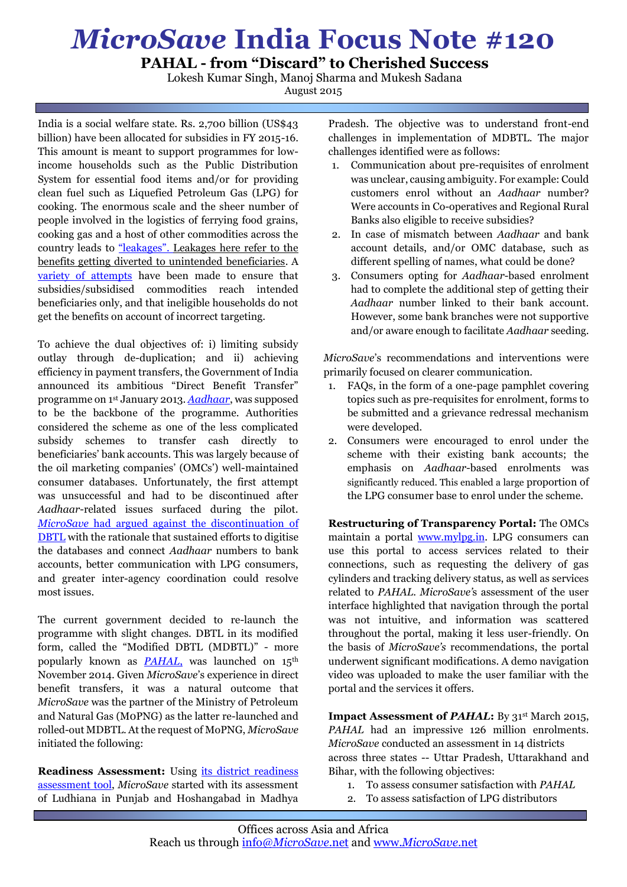## *MicroSave* **India Focus Note #120**

**PAHAL - from "Discard" to Cherished Success**

Lokesh Kumar Singh, Manoj Sharma and Mukesh Sadana August 2015

India is a social welfare state. Rs. 2,700 billion (US\$43 billion) have been allocated for subsidies in FY 2015-16. This amount is meant to support programmes for lowincome households such as the Public Distribution System for essential food items and/or for providing clean fuel such as Liquefied Petroleum Gas (LPG) for cooking. The enormous scale and the sheer number of people involved in the logistics of ferrying food grains, cooking gas and a host of other commodities across the country leads to ["leakages"](http://bit.ly/1BPNAAS). Leakages here refer to the benefits getting diverted to unintended beneficiaries. A [variety of attempts](http://bit.ly/1eU3zE3) have been made to ensure that subsidies/subsidised commodities reach intended beneficiaries only, and that ineligible households do not get the benefits on account of incorrect targeting.

To achieve the dual objectives of: i) limiting subsidy outlay through de-duplication; and ii) achieving efficiency in payment transfers, the Government of India announced its ambitious "Direct Benefit Transfer" programme on 1st January 2013. *[Aadhaar](http://bit.ly/1iv3YK5)*, was supposed to be the backbone of the programme. Authorities considered the scheme as one of the less complicated subsidy schemes to transfer cash directly to beneficiaries' bank accounts. This was largely because of the oil marketing companies' (OMCs') well-maintained consumer databases. Unfortunately, the first attempt was unsuccessful and had to be discontinued after *Aadhaar*-related issues surfaced during the pilot. *MicroSave* [had argued against the discontinuation of](http://bit.ly/1l9Er9w)  [DBTL](http://bit.ly/1l9Er9w) with the rationale that sustained efforts to digitise the databases and connect *Aadhaar* numbers to bank accounts, better communication with LPG consumers, and greater inter-agency coordination could resolve most issues.

The current government decided to re-launch the programme with slight changes. DBTL in its modified form, called the "Modified DBTL (MDBTL)" - more popularly known as **PAHAL**, was launched on 15<sup>th</sup> November 2014. Given *MicroSave*'s experience in direct benefit transfers, it was a natural outcome that *MicroSave* was the partner of the Ministry of Petroleum and Natural Gas (M0PNG) as the latter re-launched and rolled-out MDBTL. At the request of MoPNG, *MicroSave* initiated the following:

**Readiness Assessment:** Using [its district readiness](http://bit.ly/1stniwf)  [assessment t](http://bit.ly/1stniwf)ool, *MicroSave* started with its assessment of Ludhiana in Punjab and Hoshangabad in Madhya

Pradesh. The objective was to understand front-end challenges in implementation of MDBTL. The major challenges identified were as follows:

- 1. Communication about pre-requisites of enrolment was unclear, causing ambiguity. For example: Could customers enrol without an *Aadhaar* number? Were accounts in Co-operatives and Regional Rural Banks also eligible to receive subsidies?
- 2. In case of mismatch between *Aadhaar* and bank account details, and/or OMC database, such as different spelling of names, what could be done?
- 3. Consumers opting for *Aadhaar*-based enrolment had to complete the additional step of getting their *Aadhaar* number linked to their bank account. However, some bank branches were not supportive and/or aware enough to facilitate *Aadhaar* seeding.

*MicroSave*'s recommendations and interventions were primarily focused on clearer communication.

- 1. FAQs, in the form of a one-page pamphlet covering topics such as pre-requisites for enrolment, forms to be submitted and a grievance redressal mechanism were developed.
- 2. Consumers were encouraged to enrol under the scheme with their existing bank accounts; the emphasis on *Aadhaar-*based enrolments was significantly reduced. This enabled a large proportion of the LPG consumer base to enrol under the scheme.

**Restructuring of Transparency Portal:** The OMCs maintain a portal [www.mylpg.in.](http://www.mylpg.in/) LPG consumers can use this portal to access services related to their connections, such as requesting the delivery of gas cylinders and tracking delivery status, as well as services related to *PAHAL*. *MicroSave'*s assessment of the user interface highlighted that navigation through the portal was not intuitive, and information was scattered throughout the portal, making it less user-friendly. On the basis of *MicroSave's* recommendations, the portal underwent significant modifications. A demo navigation video was uploaded to make the user familiar with the portal and the services it offers.

**Impact Assessment of** *PAHAL***:** By 31st March 2015, *PAHAL* had an impressive 126 million enrolments. *MicroSave* conducted an assessment in 14 districts across three states -- Uttar Pradesh, Uttarakhand and Bihar, with the following objectives:

- 1. To assess consumer satisfaction with *PAHAL*
- 2. To assess satisfaction of LPG distributors